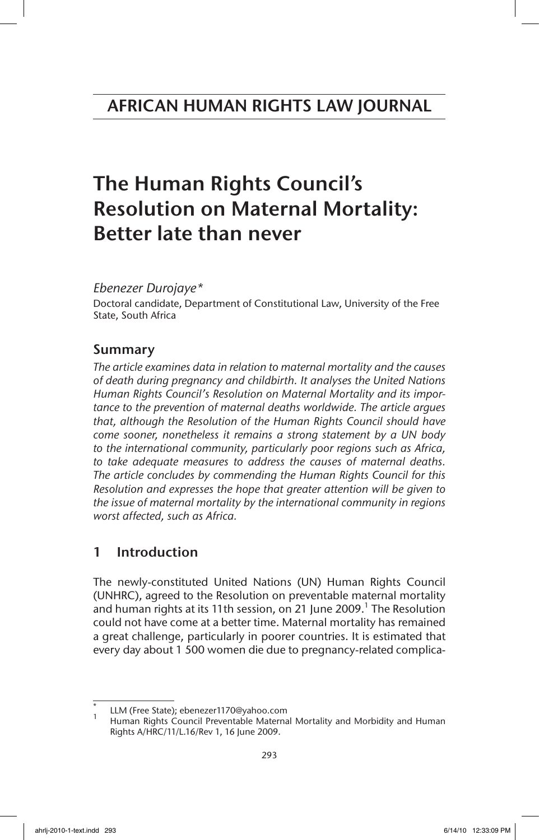# The Human Rights Council's Resolution on Maternal Mortality: Better late than never

## *Ebenezer Durojaye\**

Doctoral candidate, Department of Constitutional Law, University of the Free State, South Africa

## Summary

*The article examines data in relation to maternal mortality and the causes of death during pregnancy and childbirth. It analyses the United Nations Human Rights Council's Resolution on Maternal Mortality and its importance to the prevention of maternal deaths worldwide. The article argues that, although the Resolution of the Human Rights Council should have come sooner, nonetheless it remains a strong statement by a UN body to the international community, particularly poor regions such as Africa, to take adequate measures to address the causes of maternal deaths. The article concludes by commending the Human Rights Council for this Resolution and expresses the hope that greater attention will be given to the issue of maternal mortality by the international community in regions worst affected, such as Africa.*

## 1 Introduction

The newly-constituted United Nations (UN) Human Rights Council (UNHRC), agreed to the Resolution on preventable maternal mortality and human rights at its 11th session, on 21 June 2009.<sup>1</sup> The Resolution could not have come at a better time. Maternal mortality has remained a great challenge, particularly in poorer countries. It is estimated that every day about 1 500 women die due to pregnancy-related complica-

LLM (Free State); ebenezer1170@yahoo.com<br>Human Rights Council Preventable Maternal Mortality and Morbidity and Human Rights A/HRC/11/L.16/Rev 1, 16 June 2009.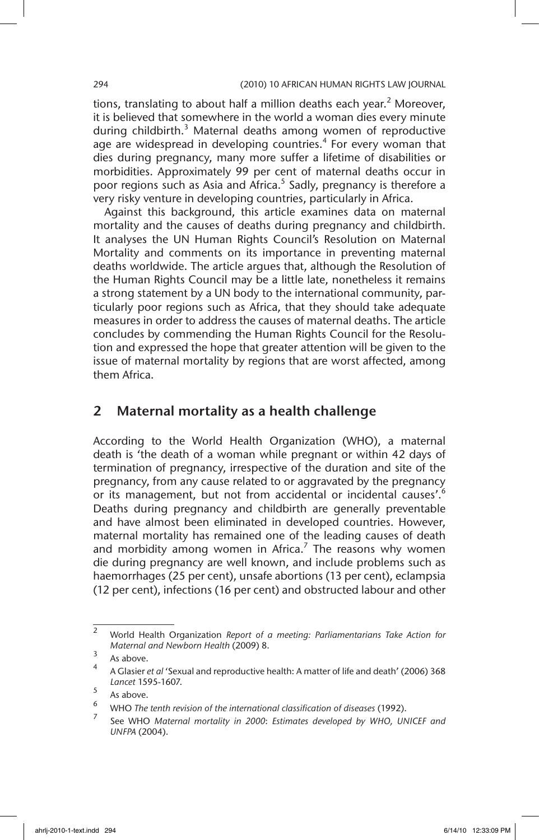tions, translating to about half a million deaths each year.<sup>2</sup> Moreover, it is believed that somewhere in the world a woman dies every minute during childbirth.<sup>3</sup> Maternal deaths among women of reproductive age are widespread in developing countries.<sup>4</sup> For every woman that dies during pregnancy, many more suffer a lifetime of disabilities or morbidities. Approximately 99 per cent of maternal deaths occur in poor regions such as Asia and Africa.<sup>5</sup> Sadly, pregnancy is therefore a very risky venture in developing countries, particularly in Africa.

Against this background, this article examines data on maternal mortality and the causes of deaths during pregnancy and childbirth. It analyses the UN Human Rights Council's Resolution on Maternal Mortality and comments on its importance in preventing maternal deaths worldwide. The article argues that, although the Resolution of the Human Rights Council may be a little late, nonetheless it remains a strong statement by a UN body to the international community, particularly poor regions such as Africa, that they should take adequate measures in order to address the causes of maternal deaths. The article concludes by commending the Human Rights Council for the Resolution and expressed the hope that greater attention will be given to the issue of maternal mortality by regions that are worst affected, among them Africa.

## 2 Maternal mortality as a health challenge

According to the World Health Organization (WHO), a maternal death is 'the death of a woman while pregnant or within 42 days of termination of pregnancy, irrespective of the duration and site of the pregnancy, from any cause related to or aggravated by the pregnancy or its management, but not from accidental or incidental causes'.<sup>6</sup> Deaths during pregnancy and childbirth are generally preventable and have almost been eliminated in developed countries. However, maternal mortality has remained one of the leading causes of death and morbidity among women in Africa.<sup>7</sup> The reasons why women die during pregnancy are well known, and include problems such as haemorrhages (25 per cent), unsafe abortions (13 per cent), eclampsia (12 per cent), infections (16 per cent) and obstructed labour and other

<sup>2</sup> World Health Organization *Report of a meeting: Parliamentarians Take Action for Maternal and Newborn Health* (2009) 8.

 $\frac{3}{4}$  As above.

<sup>4</sup> A Glasier *et al* 'Sexual and reproductive health: A matter of life and death' (2006) 368 *Lancet* 1595-1607.

 $\frac{5}{6}$  As above.

<sup>&</sup>lt;sup>6</sup> WHO *The tenth revision of the international classification of diseases* (1992).

<sup>7</sup> See WHO *Maternal mortality in 2000*: *Estimates developed by WHO, UNICEF and UNFPA* (2004).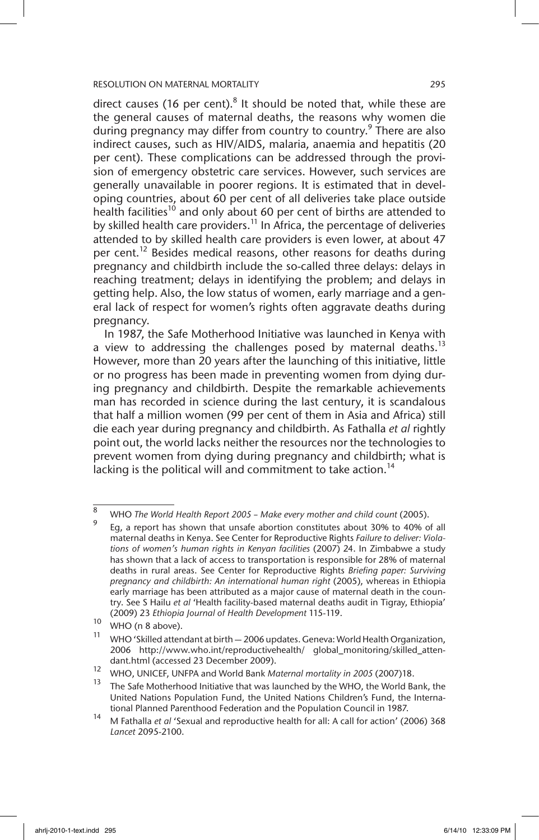direct causes (16 per cent). $8$  It should be noted that, while these are the general causes of maternal deaths, the reasons why women die during pregnancy may differ from country to country.<sup>9</sup> There are also indirect causes, such as HIV/AIDS, malaria, anaemia and hepatitis (20 per cent). These complications can be addressed through the provision of emergency obstetric care services. However, such services are generally unavailable in poorer regions. It is estimated that in developing countries, about 60 per cent of all deliveries take place outside health facilities<sup>10</sup> and only about 60 per cent of births are attended to by skilled health care providers.<sup>11</sup> In Africa, the percentage of deliveries attended to by skilled health care providers is even lower, at about 47 per cent.<sup>12</sup> Besides medical reasons, other reasons for deaths during pregnancy and childbirth include the so-called three delays: delays in reaching treatment; delays in identifying the problem; and delays in getting help. Also, the low status of women, early marriage and a general lack of respect for women's rights often aggravate deaths during pregnancy.

In 1987, the Safe Motherhood Initiative was launched in Kenya with a view to addressing the challenges posed by maternal deaths.<sup>13</sup> However, more than 20 years after the launching of this initiative, little or no progress has been made in preventing women from dying during pregnancy and childbirth. Despite the remarkable achievements man has recorded in science during the last century, it is scandalous that half a million women (99 per cent of them in Asia and Africa) still die each year during pregnancy and childbirth. As Fathalla *et al* rightly point out, the world lacks neither the resources nor the technologies to prevent women from dying during pregnancy and childbirth; what is lacking is the political will and commitment to take action.<sup>14</sup>

<sup>8</sup> WHO *The World Health Report 2005 – Make every mother and child count* (2005).

Eg, a report has shown that unsafe abortion constitutes about 30% to 40% of all maternal deaths in Kenya. See Center for Reproductive Rights *Failure to deliver: Violations of women's human rights in Kenyan facilities* (2007) 24. In Zimbabwe a study has shown that a lack of access to transportation is responsible for 28% of maternal deaths in rural areas. See Center for Reproductive Rights *Briefing paper: Surviving pregnancy and childbirth: An international human right* (2005), whereas in Ethiopia early marriage has been attributed as a major cause of maternal death in the country. See S Hailu *et al* 'Health facility-based maternal deaths audit in Tigray, Ethiopia' (2009) 23 *Ethiopia Journal of Health Development* 115-119.

 $^{10}$  WHO (n 8 above).

WHO 'Skilled attendant at birth - 2006 updates. Geneva: World Health Organization, 2006 http://www.who.int/reproductivehealth/ global\_monitoring/skilled\_attendant.html (accessed 23 December 2009).

<sup>12</sup> WHO, UNICEF, UNFPA and World Bank *Maternal mortality in 2005* (2007)18.

The Safe Motherhood Initiative that was launched by the WHO, the World Bank, the United Nations Population Fund, the United Nations Children's Fund, the International Planned Parenthood Federation and the Population Council in 1987.

<sup>14</sup> M Fathalla *et al* 'Sexual and reproductive health for all: A call for action' (2006) 368 *Lancet* 2095-2100.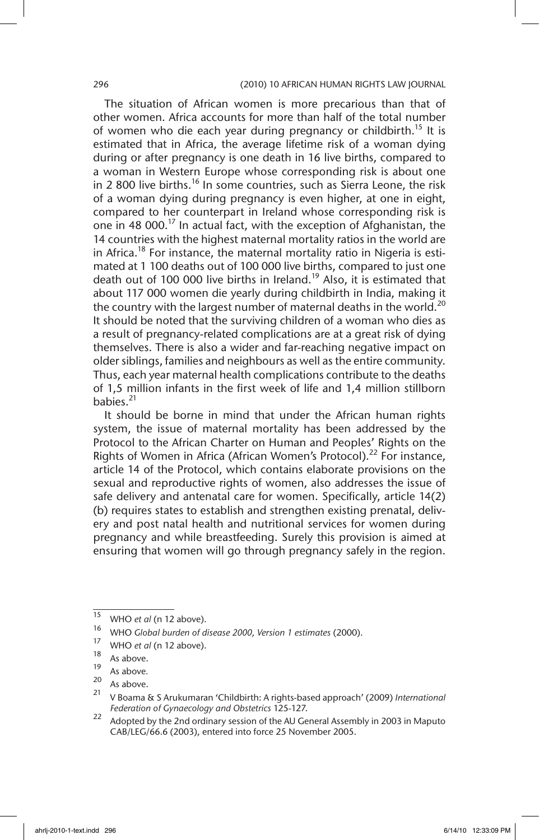The situation of African women is more precarious than that of other women. Africa accounts for more than half of the total number of women who die each year during pregnancy or childbirth.<sup>15</sup> It is estimated that in Africa, the average lifetime risk of a woman dying during or after pregnancy is one death in 16 live births, compared to a woman in Western Europe whose corresponding risk is about one in 2 800 live births.<sup>16</sup> In some countries, such as Sierra Leone, the risk of a woman dying during pregnancy is even higher, at one in eight, compared to her counterpart in Ireland whose corresponding risk is one in 48 000.<sup>17</sup> In actual fact, with the exception of Afghanistan, the 14 countries with the highest maternal mortality ratios in the world are in Africa.<sup>18</sup> For instance, the maternal mortality ratio in Nigeria is estimated at 1 100 deaths out of 100 000 live births, compared to just one death out of 100 000 live births in Ireland.<sup>19</sup> Also, it is estimated that about 117 000 women die yearly during childbirth in India, making it the country with the largest number of maternal deaths in the world.<sup>20</sup> It should be noted that the surviving children of a woman who dies as a result of pregnancy-related complications are at a great risk of dying themselves. There is also a wider and far-reaching negative impact on older siblings, families and neighbours as well as the entire community. Thus, each year maternal health complications contribute to the deaths of 1,5 million infants in the first week of life and 1,4 million stillborn babies.21

It should be borne in mind that under the African human rights system, the issue of maternal mortality has been addressed by the Protocol to the African Charter on Human and Peoples' Rights on the Rights of Women in Africa (African Women's Protocol).<sup>22</sup> For instance. article 14 of the Protocol, which contains elaborate provisions on the sexual and reproductive rights of women, also addresses the issue of safe delivery and antenatal care for women. Specifically, article 14(2) (b) requires states to establish and strengthen existing prenatal, delivery and post natal health and nutritional services for women during pregnancy and while breastfeeding. Surely this provision is aimed at ensuring that women will go through pregnancy safely in the region.

 $\frac{15}{15}$  WHO *et al* (n 12 above).

<sup>16</sup> WHO *Global burden of disease 2000, Version 1 estimates* (2000).

 $^{17}$  WHO *et al* (n 12 above).

 $18$  As above.

 $\frac{19}{20}$  As above.

 $\frac{20}{21}$  As above.

<sup>21</sup> V Boama & S Arukumaran 'Childbirth: A rights-based approach' (2009) *International Federation of Gynaecology and Obstetrics* 125-127.

<sup>22</sup> Adopted by the 2nd ordinary session of the AU General Assembly in 2003 in Maputo CAB/LEG/66.6 (2003), entered into force 25 November 2005.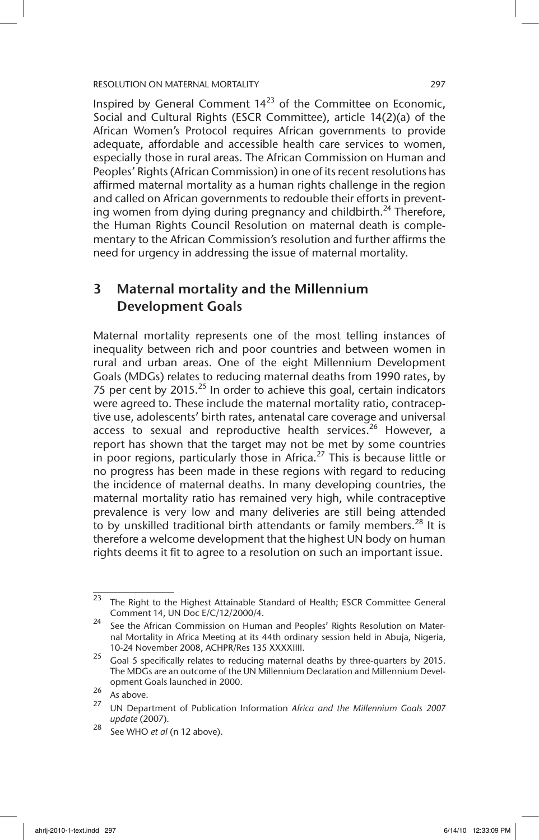Inspired by General Comment  $14^{23}$  of the Committee on Economic, Social and Cultural Rights (ESCR Committee), article 14(2)(a) of the African Women's Protocol requires African governments to provide adequate, affordable and accessible health care services to women, especially those in rural areas. The African Commission on Human and Peoples' Rights (African Commission) in one of its recent resolutions has affirmed maternal mortality as a human rights challenge in the region and called on African governments to redouble their efforts in preventing women from dying during pregnancy and childbirth.<sup>24</sup> Therefore, the Human Rights Council Resolution on maternal death is complementary to the African Commission's resolution and further affirms the need for urgency in addressing the issue of maternal mortality.

## 3 Maternal mortality and the Millennium Development Goals

Maternal mortality represents one of the most telling instances of inequality between rich and poor countries and between women in rural and urban areas. One of the eight Millennium Development Goals (MDGs) relates to reducing maternal deaths from 1990 rates, by 75 per cent by  $2015<sup>25</sup>$  In order to achieve this goal, certain indicators were agreed to. These include the maternal mortality ratio, contraceptive use, adolescents' birth rates, antenatal care coverage and universal access to sexual and reproductive health services.<sup>26</sup> However, a report has shown that the target may not be met by some countries in poor regions, particularly those in Africa.<sup>27</sup> This is because little or no progress has been made in these regions with regard to reducing the incidence of maternal deaths. In many developing countries, the maternal mortality ratio has remained very high, while contraceptive prevalence is very low and many deliveries are still being attended to by unskilled traditional birth attendants or family members.<sup>28</sup> It is therefore a welcome development that the highest UN body on human rights deems it fit to agree to a resolution on such an important issue.

 $23$  The Right to the Highest Attainable Standard of Health; ESCR Committee General Comment 14, UN Doc E/C/12/2000/4.

<sup>&</sup>lt;sup>24</sup> See the African Commission on Human and Peoples' Rights Resolution on Maternal Mortality in Africa Meeting at its 44th ordinary session held in Abuja, Nigeria, 10-24 November 2008, ACHPR/Res 135 XXXXIIII.

 $25$  Goal 5 specifically relates to reducing maternal deaths by three-quarters by 2015. The MDGs are an outcome of the UN Millennium Declaration and Millennium Development Goals launched in 2000.

 $\frac{26}{27}$  As above.

<sup>27</sup> UN Department of Publication Information *Africa and the Millennium Goals 2007 update* (2007).

<sup>28</sup> See WHO *et al* (n 12 above).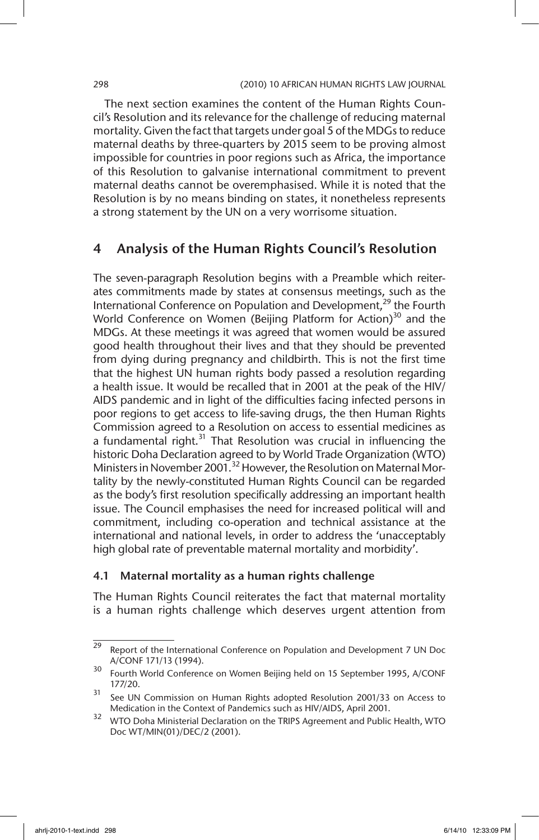The next section examines the content of the Human Rights Council's Resolution and its relevance for the challenge of reducing maternal mortality. Given the fact that targets under goal 5 of the MDGs to reduce maternal deaths by three-quarters by 2015 seem to be proving almost impossible for countries in poor regions such as Africa, the importance of this Resolution to galvanise international commitment to prevent maternal deaths cannot be overemphasised. While it is noted that the Resolution is by no means binding on states, it nonetheless represents a strong statement by the UN on a very worrisome situation.

## 4 Analysis of the Human Rights Council's Resolution

The seven-paragraph Resolution begins with a Preamble which reiterates commitments made by states at consensus meetings, such as the International Conference on Population and Development,<sup>29</sup> the Fourth World Conference on Women (Beijing Platform for Action)<sup>30</sup> and the MDGs. At these meetings it was agreed that women would be assured good health throughout their lives and that they should be prevented from dying during pregnancy and childbirth. This is not the first time that the highest UN human rights body passed a resolution regarding a health issue. It would be recalled that in 2001 at the peak of the HIV/ AIDS pandemic and in light of the difficulties facing infected persons in poor regions to get access to life-saving drugs, the then Human Rights Commission agreed to a Resolution on access to essential medicines as a fundamental right. $31$  That Resolution was crucial in influencing the historic Doha Declaration agreed to by World Trade Organization (WTO) Ministers in November 2001.<sup>32</sup> However, the Resolution on Maternal Mortality by the newly-constituted Human Rights Council can be regarded as the body's first resolution specifically addressing an important health issue. The Council emphasises the need for increased political will and commitment, including co-operation and technical assistance at the international and national levels, in order to address the 'unacceptably high global rate of preventable maternal mortality and morbidity'.

#### 4.1 Maternal mortality as a human rights challenge

The Human Rights Council reiterates the fact that maternal mortality is a human rights challenge which deserves urgent attention from

 $29$  Report of the International Conference on Population and Development 7 UN Doc A/CONF 171/13 (1994).

<sup>30</sup> Fourth World Conference on Women Beijing held on 15 September 1995, A/CONF 177/20.

<sup>31</sup> See UN Commission on Human Rights adopted Resolution 2001/33 on Access to Medication in the Context of Pandemics such as HIV/AIDS, April 2001.

<sup>32</sup> WTO Doha Ministerial Declaration on the TRIPS Agreement and Public Health, WTO Doc WT/MIN(01)/DEC/2 (2001).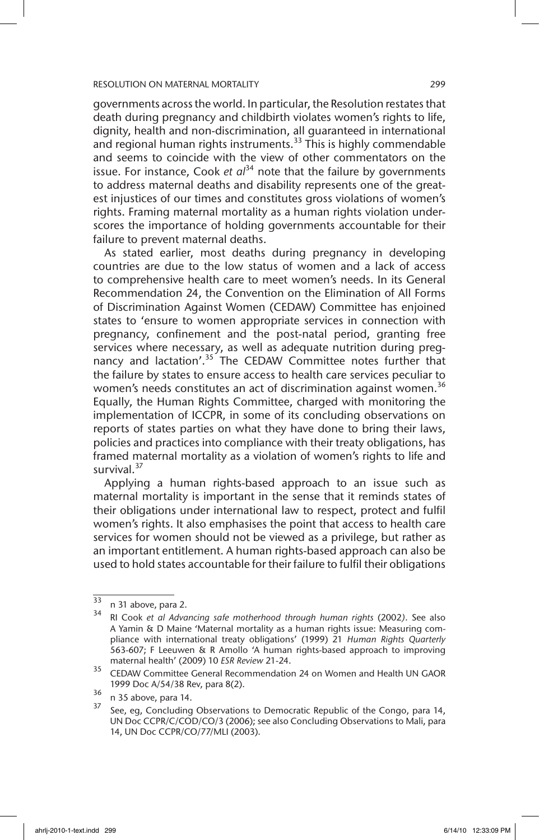governments across the world. In particular, the Resolution restates that death during pregnancy and childbirth violates women's rights to life, dignity, health and non-discrimination, all guaranteed in international and regional human rights instruments.<sup>33</sup> This is highly commendable and seems to coincide with the view of other commentators on the issue. For instance, Cook *et*  $a^{34}$  note that the failure by governments to address maternal deaths and disability represents one of the greatest injustices of our times and constitutes gross violations of women's rights. Framing maternal mortality as a human rights violation underscores the importance of holding governments accountable for their failure to prevent maternal deaths.

As stated earlier, most deaths during pregnancy in developing countries are due to the low status of women and a lack of access to comprehensive health care to meet women's needs. In its General Recommendation 24, the Convention on the Elimination of All Forms of Discrimination Against Women (CEDAW) Committee has enjoined states to 'ensure to women appropriate services in connection with pregnancy, confinement and the post-natal period, granting free services where necessary, as well as adequate nutrition during pregnancy and lactation'.<sup>35</sup> The CEDAW Committee notes further that the failure by states to ensure access to health care services peculiar to women's needs constitutes an act of discrimination against women.<sup>36</sup> Equally, the Human Rights Committee, charged with monitoring the implementation of ICCPR, in some of its concluding observations on reports of states parties on what they have done to bring their laws, policies and practices into compliance with their treaty obligations, has framed maternal mortality as a violation of women's rights to life and survival. $37$ 

Applying a human rights-based approach to an issue such as maternal mortality is important in the sense that it reminds states of their obligations under international law to respect, protect and fulfil women's rights. It also emphasises the point that access to health care services for women should not be viewed as a privilege, but rather as an important entitlement. A human rights-based approach can also be used to hold states accountable for their failure to fulfil their obligations

 $33$  n 31 above, para 2.

<sup>34</sup> RI Cook *et al Advancing safe motherhood through human rights* (2002*)*. See also A Yamin & D Maine 'Maternal mortality as a human rights issue: Measuring compliance with international treaty obligations' (1999) 21 *Human Rights Quarterly* 563-607; F Leeuwen & R Amollo 'A human rights-based approach to improving maternal health' (2009) 10 *ESR Review* 21-24.

<sup>35</sup> CEDAW Committee General Recommendation 24 on Women and Health UN GAOR 1999 Doc A/54/38 Rev, para 8(2).

 $\frac{36}{37}$  n 35 above, para 14.

See, eg, Concluding Observations to Democratic Republic of the Congo, para 14, UN Doc CCPR/C/COD/CO/3 (2006); see also Concluding Observations to Mali, para 14, UN Doc CCPR/CO/77/MLI (2003).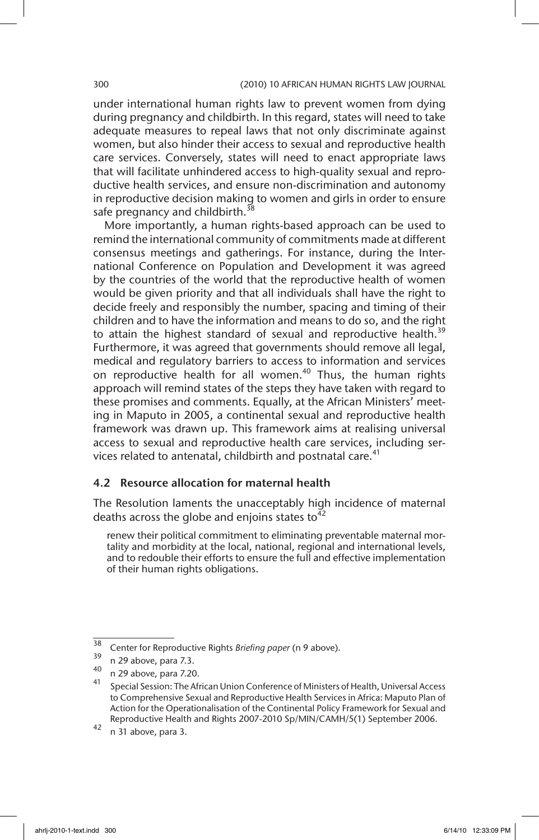under international human rights law to prevent women from dying during pregnancy and childbirth. In this regard, states will need to take adequate measures to repeal laws that not only discriminate against women, but also hinder their access to sexual and reproductive health care services. Conversely, states will need to enact appropriate laws that will facilitate unhindered access to high-quality sexual and reproductive health services, and ensure non-discrimination and autonomy in reproductive decision making to women and girls in order to ensure safe pregnancy and childbirth.<sup>38</sup>

More importantly, a human rights-based approach can be used to remind the international community of commitments made at different consensus meetings and gatherings. For instance, during the International Conference on Population and Development it was agreed by the countries of the world that the reproductive health of women would be given priority and that all individuals shall have the right to decide freely and responsibly the number, spacing and timing of their children and to have the information and means to do so, and the right to attain the highest standard of sexual and reproductive health.<sup>39</sup> Furthermore, it was agreed that governments should remove all legal, medical and regulatory barriers to access to information and services on reproductive health for all women.<sup>40</sup> Thus, the human rights approach will remind states of the steps they have taken with regard to these promises and comments. Equally, at the African Ministers' meeting in Maputo in 2005, a continental sexual and reproductive health framework was drawn up. This framework aims at realising universal access to sexual and reproductive health care services, including services related to antenatal, childbirth and postnatal care. $41$ 

### 4.2 Resource allocation for maternal health

The Resolution laments the unacceptably high incidence of maternal deaths across the globe and enjoins states to  $42$ 

renew their political commitment to eliminating preventable maternal mortality and morbidity at the local, national, regional and international levels, and to redouble their efforts to ensure the full and effective implementation of their human rights obligations.

<sup>38</sup> Center for Reproductive Rights *Briefing paper* (n 9 above).

 $^{39}$  n 29 above, para 7.3.

 $^{40}$  n 29 above, para 7.20.

<sup>41</sup> Special Session: The African Union Conference of Ministers of Health, Universal Access to Comprehensive Sexual and Reproductive Health Services in Africa: Maputo Plan of Action for the Operationalisation of the Continental Policy Framework for Sexual and Reproductive Health and Rights 2007-2010 Sp/MIN/CAMH/5(1) September 2006.

 $42$  n 31 above, para 3.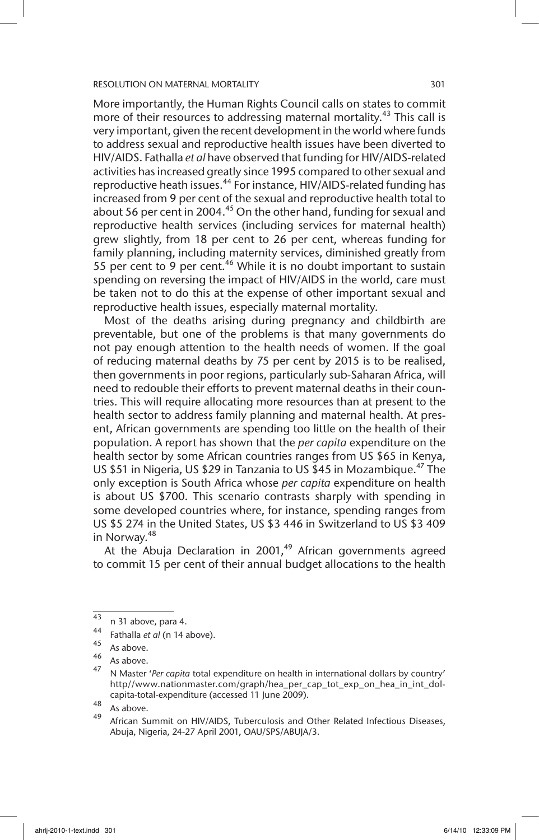More importantly, the Human Rights Council calls on states to commit more of their resources to addressing maternal mortality.<sup>43</sup> This call is very important, given the recent development in the world where funds to address sexual and reproductive health issues have been diverted to HIV/AIDS. Fathalla *et al* have observed that funding for HIV/AIDS-related activities has increased greatly since 1995 compared to other sexual and reproductive heath issues.<sup>44</sup> For instance, HIV/AIDS-related funding has increased from 9 per cent of the sexual and reproductive health total to about 56 per cent in 2004.<sup>45</sup> On the other hand, funding for sexual and reproductive health services (including services for maternal health) grew slightly, from 18 per cent to 26 per cent, whereas funding for family planning, including maternity services, diminished greatly from 55 per cent to 9 per cent.<sup>46</sup> While it is no doubt important to sustain spending on reversing the impact of HIV/AIDS in the world, care must be taken not to do this at the expense of other important sexual and reproductive health issues, especially maternal mortality.

Most of the deaths arising during pregnancy and childbirth are preventable, but one of the problems is that many governments do not pay enough attention to the health needs of women. If the goal of reducing maternal deaths by 75 per cent by 2015 is to be realised, then governments in poor regions, particularly sub-Saharan Africa, will need to redouble their efforts to prevent maternal deaths in their countries. This will require allocating more resources than at present to the health sector to address family planning and maternal health. At present, African governments are spending too little on the health of their population. A report has shown that the *per capita* expenditure on the health sector by some African countries ranges from US \$65 in Kenya, US \$51 in Nigeria, US \$29 in Tanzania to US \$45 in Mozambique.<sup>47</sup> The only exception is South Africa whose *per capita* expenditure on health is about US \$700. This scenario contrasts sharply with spending in some developed countries where, for instance, spending ranges from US \$5 274 in the United States, US \$3 446 in Switzerland to US \$3 409 in Norway.<sup>48</sup>

At the Abuja Declaration in 2001, $49$  African governments agreed to commit 15 per cent of their annual budget allocations to the health

 $^{43}$  n 31 above, para 4.

<sup>44</sup> Fathalla *et al* (n 14 above).

 $46$  As above.

 $^{40}$  As above.

<sup>47</sup> N Master '*Per capita* total expenditure on health in international dollars by country' http//www.nationmaster.com/graph/hea\_per\_cap\_tot\_exp\_on\_hea\_in\_int\_dolcapita-total-expenditure (accessed 11 June 2009).

 $\frac{48}{49}$  As above.

African Summit on HIV/AIDS, Tuberculosis and Other Related Infectious Diseases, Abuja, Nigeria, 24-27 April 2001, OAU/SPS/ABUJA/3.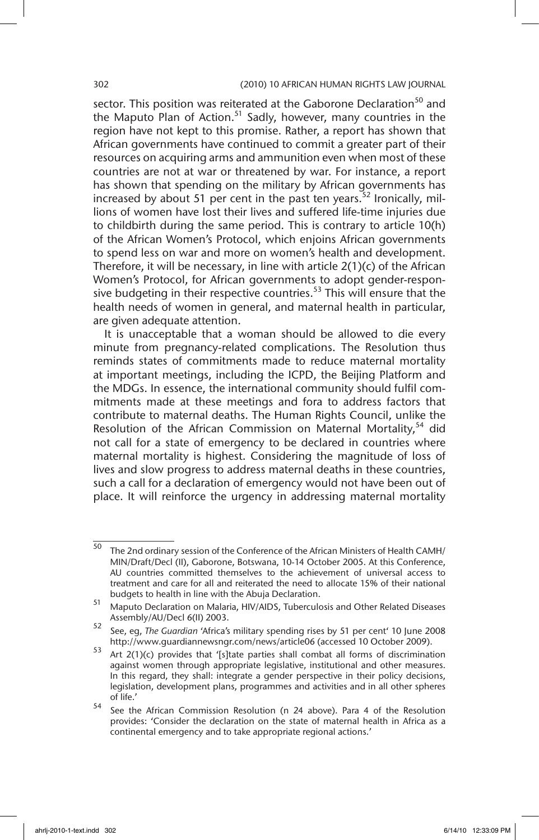sector. This position was reiterated at the Gaborone Declaration<sup>50</sup> and the Maputo Plan of Action.<sup>51</sup> Sadly, however, many countries in the region have not kept to this promise. Rather, a report has shown that African governments have continued to commit a greater part of their resources on acquiring arms and ammunition even when most of these countries are not at war or threatened by war. For instance, a report has shown that spending on the military by African governments has increased by about 51 per cent in the past ten years.<sup>52</sup> Ironically. millions of women have lost their lives and suffered life-time injuries due to childbirth during the same period. This is contrary to article 10(h) of the African Women's Protocol, which enjoins African governments to spend less on war and more on women's health and development. Therefore, it will be necessary, in line with article 2(1)(c) of the African Women's Protocol, for African governments to adopt gender-responsive budgeting in their respective countries.<sup>53</sup> This will ensure that the health needs of women in general, and maternal health in particular, are given adequate attention.

It is unacceptable that a woman should be allowed to die every minute from pregnancy-related complications. The Resolution thus reminds states of commitments made to reduce maternal mortality at important meetings, including the ICPD, the Beijing Platform and the MDGs. In essence, the international community should fulfil commitments made at these meetings and fora to address factors that contribute to maternal deaths. The Human Rights Council, unlike the Resolution of the African Commission on Maternal Mortality,<sup>54</sup> did not call for a state of emergency to be declared in countries where maternal mortality is highest. Considering the magnitude of loss of lives and slow progress to address maternal deaths in these countries, such a call for a declaration of emergency would not have been out of place. It will reinforce the urgency in addressing maternal mortality

 $\overline{50}$  The 2nd ordinary session of the Conference of the African Ministers of Health CAMH/ MIN/Draft/Decl (II), Gaborone, Botswana, 10-14 October 2005. At this Conference, AU countries committed themselves to the achievement of universal access to treatment and care for all and reiterated the need to allocate 15% of their national budgets to health in line with the Abuja Declaration.

<sup>51</sup> Maputo Declaration on Malaria, HIV/AIDS, Tuberculosis and Other Related Diseases Assembly/AU/Decl 6(II) 2003.

<sup>52</sup> See, eg, *The Guardian* 'Africa's military spending rises by 51 per cent' 10 June 2008 http://www.guardiannewsngr.com/news/article06 (accessed 10 October 2009).

<sup>53</sup> Art  $2(1)(c)$  provides that '[s]tate parties shall combat all forms of discrimination against women through appropriate legislative, institutional and other measures. In this regard, they shall: integrate a gender perspective in their policy decisions, legislation, development plans, programmes and activities and in all other spheres of life.'

<sup>54</sup> See the African Commission Resolution (n 24 above). Para 4 of the Resolution provides: 'Consider the declaration on the state of maternal health in Africa as a continental emergency and to take appropriate regional actions.'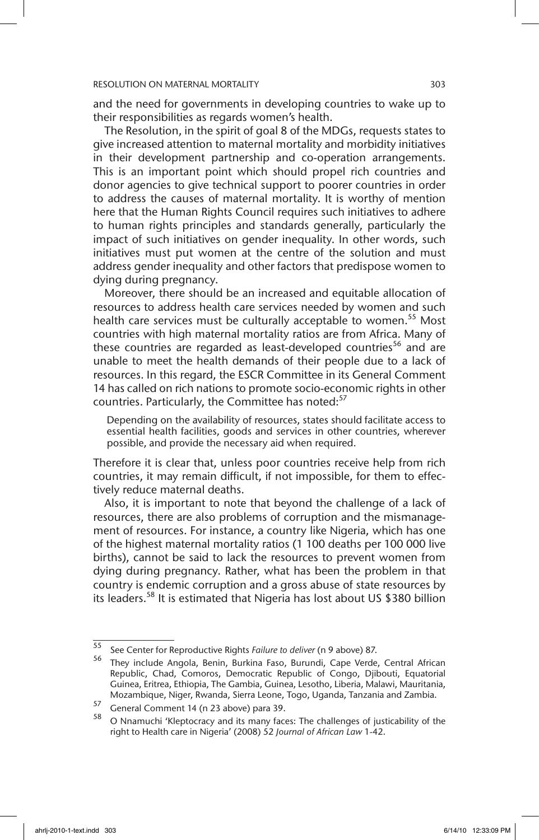and the need for governments in developing countries to wake up to their responsibilities as regards women's health.

The Resolution, in the spirit of goal 8 of the MDGs, requests states to give increased attention to maternal mortality and morbidity initiatives in their development partnership and co-operation arrangements. This is an important point which should propel rich countries and donor agencies to give technical support to poorer countries in order to address the causes of maternal mortality. It is worthy of mention here that the Human Rights Council requires such initiatives to adhere to human rights principles and standards generally, particularly the impact of such initiatives on gender inequality. In other words, such initiatives must put women at the centre of the solution and must address gender inequality and other factors that predispose women to dying during pregnancy.

Moreover, there should be an increased and equitable allocation of resources to address health care services needed by women and such health care services must be culturally acceptable to women.<sup>55</sup> Most countries with high maternal mortality ratios are from Africa. Many of these countries are regarded as least-developed countries<sup>56</sup> and are unable to meet the health demands of their people due to a lack of resources. In this regard, the ESCR Committee in its General Comment 14 has called on rich nations to promote socio-economic rights in other countries. Particularly, the Committee has noted:<sup>57</sup>

Depending on the availability of resources, states should facilitate access to essential health facilities, goods and services in other countries, wherever possible, and provide the necessary aid when required.

Therefore it is clear that, unless poor countries receive help from rich countries, it may remain difficult, if not impossible, for them to effectively reduce maternal deaths.

Also, it is important to note that beyond the challenge of a lack of resources, there are also problems of corruption and the mismanagement of resources. For instance, a country like Nigeria, which has one of the highest maternal mortality ratios (1 100 deaths per 100 000 live births), cannot be said to lack the resources to prevent women from dying during pregnancy. Rather, what has been the problem in that country is endemic corruption and a gross abuse of state resources by its leaders.<sup>58</sup> It is estimated that Nigeria has lost about US \$380 billion

<sup>55</sup> See Center for Reproductive Rights *Failure to deliver* (n 9 above) 87.

<sup>56</sup> They include Angola, Benin, Burkina Faso, Burundi, Cape Verde, Central African Republic, Chad, Comoros, Democratic Republic of Congo, Djibouti, Equatorial Guinea, Eritrea, Ethiopia, The Gambia, Guinea, Lesotho, Liberia, Malawi, Mauritania, Mozambique, Niger, Rwanda, Sierra Leone, Togo, Uganda, Tanzania and Zambia.

 $57$  General Comment 14 (n 23 above) para 39.

<sup>58</sup> O Nnamuchi 'Kleptocracy and its many faces: The challenges of justicability of the right to Health care in Nigeria' (2008) 52 *Journal of African Law* 1-42.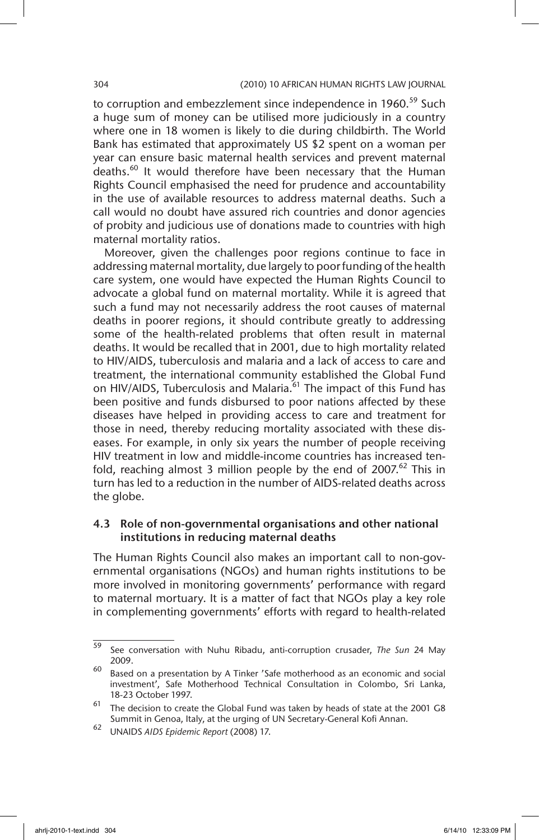to corruption and embezzlement since independence in 1960.<sup>59</sup> Such a huge sum of money can be utilised more judiciously in a country where one in 18 women is likely to die during childbirth. The World Bank has estimated that approximately US \$2 spent on a woman per year can ensure basic maternal health services and prevent maternal deaths.<sup>60</sup> It would therefore have been necessary that the Human Rights Council emphasised the need for prudence and accountability in the use of available resources to address maternal deaths. Such a call would no doubt have assured rich countries and donor agencies of probity and judicious use of donations made to countries with high maternal mortality ratios.

Moreover, given the challenges poor regions continue to face in addressing maternal mortality, due largely to poor funding of the health care system, one would have expected the Human Rights Council to advocate a global fund on maternal mortality. While it is agreed that such a fund may not necessarily address the root causes of maternal deaths in poorer regions, it should contribute greatly to addressing some of the health-related problems that often result in maternal deaths. It would be recalled that in 2001, due to high mortality related to HIV/AIDS, tuberculosis and malaria and a lack of access to care and treatment, the international community established the Global Fund on HIV/AIDS, Tuberculosis and Malaria. $61$  The impact of this Fund has been positive and funds disbursed to poor nations affected by these diseases have helped in providing access to care and treatment for those in need, thereby reducing mortality associated with these diseases. For example, in only six years the number of people receiving HIV treatment in low and middle-income countries has increased tenfold, reaching almost 3 million people by the end of 2007.<sup>62</sup> This in turn has led to a reduction in the number of AIDS-related deaths across the globe.

### 4.3 Role of non-governmental organisations and other national institutions in reducing maternal deaths

The Human Rights Council also makes an important call to non-governmental organisations (NGOs) and human rights institutions to be more involved in monitoring governments' performance with regard to maternal mortuary. It is a matter of fact that NGOs play a key role in complementing governments' efforts with regard to health-related

<sup>59</sup> See conversation with Nuhu Ribadu, anti-corruption crusader, *The Sun* 24 May 2009.

 $60$  Based on a presentation by A Tinker 'Safe motherhood as an economic and social investment', Safe Motherhood Technical Consultation in Colombo, Sri Lanka, 18-23 October 1997.

 $61$  The decision to create the Global Fund was taken by heads of state at the 2001 G8 Summit in Genoa, Italy, at the urging of UN Secretary-General Kofi Annan.

<sup>62</sup> UNAIDS *AIDS Epidemic Report* (2008) 17.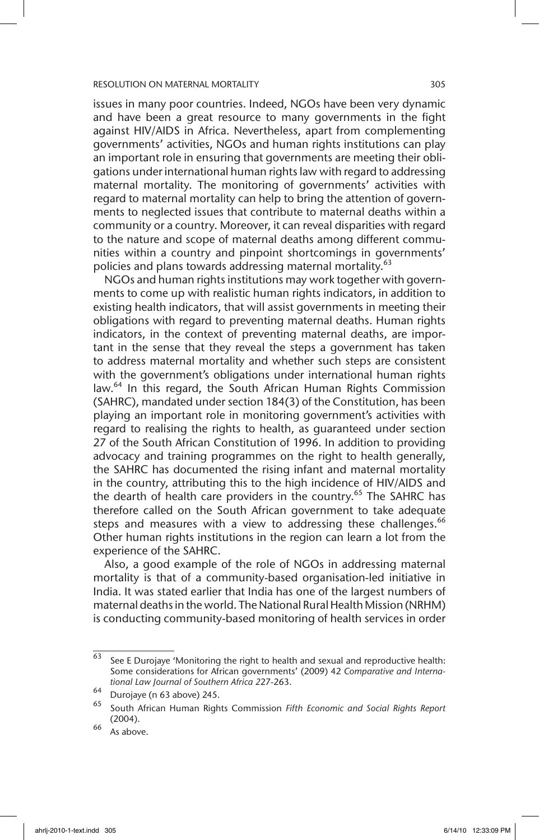issues in many poor countries. Indeed, NGOs have been very dynamic and have been a great resource to many governments in the fight against HIV/AIDS in Africa. Nevertheless, apart from complementing governments' activities, NGOs and human rights institutions can play an important role in ensuring that governments are meeting their obligations under international human rights law with regard to addressing maternal mortality. The monitoring of governments' activities with regard to maternal mortality can help to bring the attention of governments to neglected issues that contribute to maternal deaths within a community or a country. Moreover, it can reveal disparities with regard to the nature and scope of maternal deaths among different communities within a country and pinpoint shortcomings in governments' policies and plans towards addressing maternal mortality.<sup>63</sup>

NGOs and human rights institutions may work together with governments to come up with realistic human rights indicators, in addition to existing health indicators, that will assist governments in meeting their obligations with regard to preventing maternal deaths. Human rights indicators, in the context of preventing maternal deaths, are important in the sense that they reveal the steps a government has taken to address maternal mortality and whether such steps are consistent with the government's obligations under international human rights law.<sup>64</sup> In this regard, the South African Human Rights Commission (SAHRC), mandated under section 184(3) of the Constitution, has been playing an important role in monitoring government's activities with regard to realising the rights to health, as guaranteed under section 27 of the South African Constitution of 1996. In addition to providing advocacy and training programmes on the right to health generally, the SAHRC has documented the rising infant and maternal mortality in the country, attributing this to the high incidence of HIV/AIDS and the dearth of health care providers in the country.<sup>65</sup> The SAHRC has therefore called on the South African government to take adequate steps and measures with a view to addressing these challenges.  $66$ Other human rights institutions in the region can learn a lot from the experience of the SAHRC.

Also, a good example of the role of NGOs in addressing maternal mortality is that of a community-based organisation-led initiative in India. It was stated earlier that India has one of the largest numbers of maternal deaths in the world. The National Rural Health Mission (NRHM) is conducting community-based monitoring of health services in order

 $63$  See E Durojaye 'Monitoring the right to health and sexual and reproductive health: Some considerations for African governments' (2009) 42 *Comparative and International Law Journal of Southern Africa 2*27-263.

 $^{64}$  Durojaye (n 63 above) 245.<br> $^{65}$  South African Human Pigh

<sup>65</sup> South African Human Rights Commission *Fifth Economic and Social Rights Report*  (2004).

 $66 \, \text{As above}$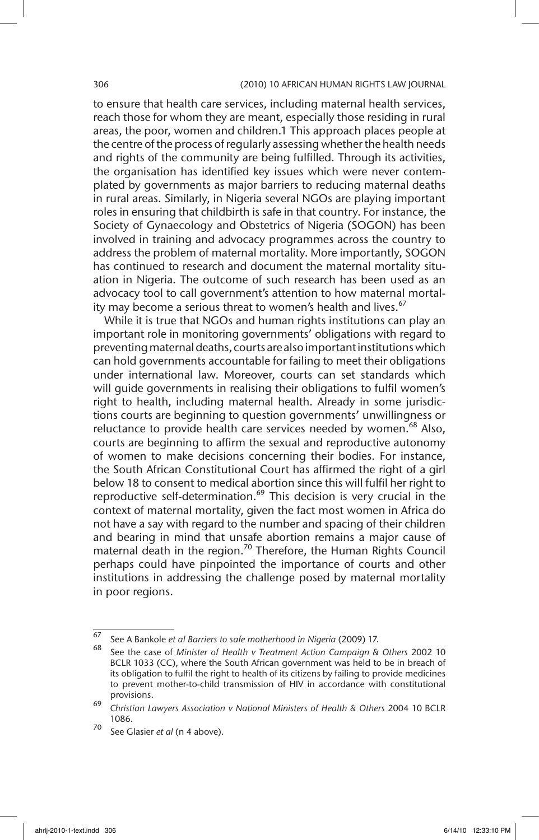#### 306 (2010) 10 AFRICAN HUMAN RIGHTS LAW JOURNAL

to ensure that health care services, including maternal health services, reach those for whom they are meant, especially those residing in rural areas, the poor, women and children.1 This approach places people at the centre of the process of regularly assessing whether the health needs and rights of the community are being fulfilled. Through its activities, the organisation has identified key issues which were never contemplated by governments as major barriers to reducing maternal deaths in rural areas. Similarly, in Nigeria several NGOs are playing important roles in ensuring that childbirth is safe in that country. For instance, the Society of Gynaecology and Obstetrics of Nigeria (SOGON) has been involved in training and advocacy programmes across the country to address the problem of maternal mortality. More importantly, SOGON has continued to research and document the maternal mortality situation in Nigeria. The outcome of such research has been used as an advocacy tool to call government's attention to how maternal mortality may become a serious threat to women's health and lives.<sup>67</sup>

While it is true that NGOs and human rights institutions can play an important role in monitoring governments' obligations with regard to preventing maternal deaths, courts are also important institutions which can hold governments accountable for failing to meet their obligations under international law. Moreover, courts can set standards which will guide governments in realising their obligations to fulfil women's right to health, including maternal health. Already in some jurisdictions courts are beginning to question governments' unwillingness or reluctance to provide health care services needed by women.<sup>68</sup> Also, courts are beginning to affirm the sexual and reproductive autonomy of women to make decisions concerning their bodies. For instance, the South African Constitutional Court has affirmed the right of a girl below 18 to consent to medical abortion since this will fulfil her right to reproductive self-determination.<sup>69</sup> This decision is very crucial in the context of maternal mortality, given the fact most women in Africa do not have a say with regard to the number and spacing of their children and bearing in mind that unsafe abortion remains a major cause of maternal death in the region.<sup>70</sup> Therefore, the Human Rights Council perhaps could have pinpointed the importance of courts and other institutions in addressing the challenge posed by maternal mortality in poor regions.

<sup>67</sup> See A Bankole *et al Barriers to safe motherhood in Nigeria* (2009) 17.

<sup>68</sup> See the case of *Minister of Health v Treatment Action Campaign & Others* 2002 10 BCLR 1033 (CC), where the South African government was held to be in breach of its obligation to fulfil the right to health of its citizens by failing to provide medicines to prevent mother-to-child transmission of HIV in accordance with constitutional provisions.

<sup>69</sup> *Christian Lawyers Association v National Ministers of Health & Others* 2004 10 BCLR 1086.

<sup>70</sup> See Glasier *et al* (n 4 above).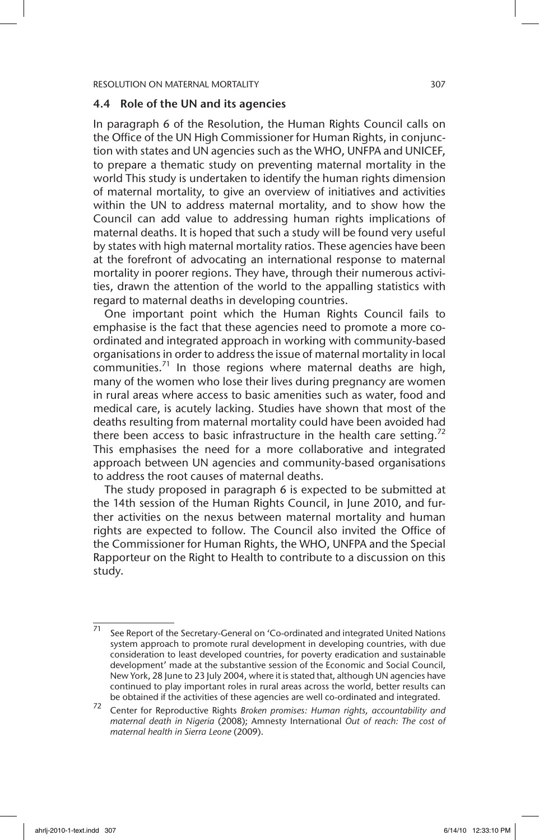#### 4.4 Role of the UN and its agencies

In paragraph 6 of the Resolution, the Human Rights Council calls on the Office of the UN High Commissioner for Human Rights, in conjunction with states and UN agencies such as the WHO, UNFPA and UNICEF, to prepare a thematic study on preventing maternal mortality in the world This study is undertaken to identify the human rights dimension of maternal mortality, to give an overview of initiatives and activities within the UN to address maternal mortality, and to show how the Council can add value to addressing human rights implications of maternal deaths. It is hoped that such a study will be found very useful by states with high maternal mortality ratios. These agencies have been at the forefront of advocating an international response to maternal mortality in poorer regions. They have, through their numerous activities, drawn the attention of the world to the appalling statistics with regard to maternal deaths in developing countries.

One important point which the Human Rights Council fails to emphasise is the fact that these agencies need to promote a more coordinated and integrated approach in working with community-based organisations in order to address the issue of maternal mortality in local communities.<sup>71</sup> In those regions where maternal deaths are high, many of the women who lose their lives during pregnancy are women in rural areas where access to basic amenities such as water, food and medical care, is acutely lacking. Studies have shown that most of the deaths resulting from maternal mortality could have been avoided had there been access to basic infrastructure in the health care setting.<sup>72</sup> This emphasises the need for a more collaborative and integrated approach between UN agencies and community-based organisations to address the root causes of maternal deaths.

The study proposed in paragraph 6 is expected to be submitted at the 14th session of the Human Rights Council, in June 2010, and further activities on the nexus between maternal mortality and human rights are expected to follow. The Council also invited the Office of the Commissioner for Human Rights, the WHO, UNFPA and the Special Rapporteur on the Right to Health to contribute to a discussion on this study.

 $\frac{71}{71}$  See Report of the Secretary-General on 'Co-ordinated and integrated United Nations system approach to promote rural development in developing countries, with due consideration to least developed countries, for poverty eradication and sustainable development' made at the substantive session of the Economic and Social Council, New York, 28 June to 23 July 2004, where it is stated that, although UN agencies have continued to play important roles in rural areas across the world, better results can be obtained if the activities of these agencies are well co-ordinated and integrated.

<sup>72</sup> Center for Reproductive Rights *Broken promises: Human rights, accountability and maternal death in Nigeria* (2008); Amnesty International *Out of reach: The cost of maternal health in Sierra Leone* (2009).